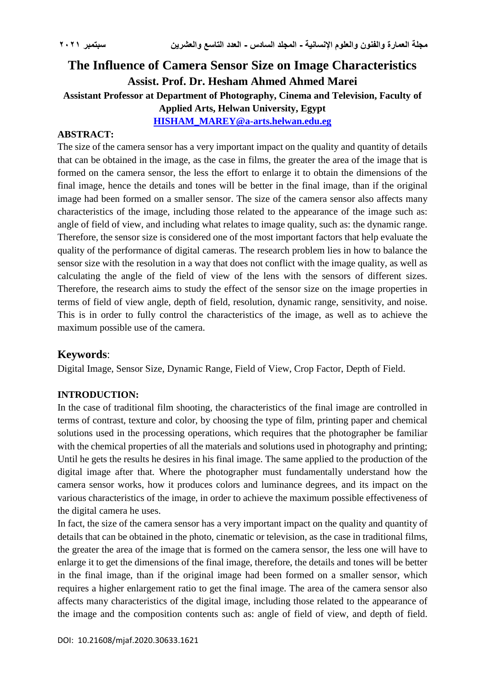# **The Influence of Camera Sensor Size on Image Characteristics Assist. Prof. Dr. Hesham Ahmed Ahmed Marei Assistant Professor at Department of Photography, Cinema and Television, Faculty of Applied Arts, Helwan University, Egypt [HISHAM\\_MAREY@a-arts.helwan.edu.eg](mailto:HISHAM_MAREY@a-arts.helwan.edu.eg)**

#### **ABSTRACT:**

The size of the camera sensor has a very important impact on the quality and quantity of details that can be obtained in the image, as the case in films, the greater the area of the image that is formed on the camera sensor, the less the effort to enlarge it to obtain the dimensions of the final image, hence the details and tones will be better in the final image, than if the original image had been formed on a smaller sensor. The size of the camera sensor also affects many characteristics of the image, including those related to the appearance of the image such as: angle of field of view, and including what relates to image quality, such as: the dynamic range. Therefore, the sensor size is considered one of the most important factors that help evaluate the quality of the performance of digital cameras. The research problem lies in how to balance the sensor size with the resolution in a way that does not conflict with the image quality, as well as calculating the angle of the field of view of the lens with the sensors of different sizes. Therefore, the research aims to study the effect of the sensor size on the image properties in terms of field of view angle, depth of field, resolution, dynamic range, sensitivity, and noise. This is in order to fully control the characteristics of the image, as well as to achieve the maximum possible use of the camera.

# **Keywords**:

Digital Image, Sensor Size, Dynamic Range, Field of View, Crop Factor, Depth of Field.

#### **INTRODUCTION:**

In the case of traditional film shooting, the characteristics of the final image are controlled in terms of contrast, texture and color, by choosing the type of film, printing paper and chemical solutions used in the processing operations, which requires that the photographer be familiar with the chemical properties of all the materials and solutions used in photography and printing; Until he gets the results he desires in his final image. The same applied to the production of the digital image after that. Where the photographer must fundamentally understand how the camera sensor works, how it produces colors and luminance degrees, and its impact on the various characteristics of the image, in order to achieve the maximum possible effectiveness of the digital camera he uses.

In fact, the size of the camera sensor has a very important impact on the quality and quantity of details that can be obtained in the photo, cinematic or television, as the case in traditional films, the greater the area of the image that is formed on the camera sensor, the less one will have to enlarge it to get the dimensions of the final image, therefore, the details and tones will be better in the final image, than if the original image had been formed on a smaller sensor, which requires a higher enlargement ratio to get the final image. The area of the camera sensor also affects many characteristics of the digital image, including those related to the appearance of the image and the composition contents such as: angle of field of view, and depth of field.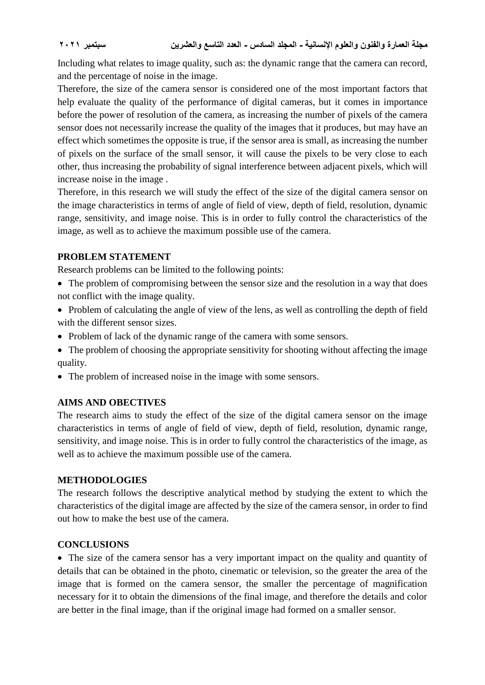Including what relates to image quality, such as: the dynamic range that the camera can record, and the percentage of noise in the image.

Therefore, the size of the camera sensor is considered one of the most important factors that help evaluate the quality of the performance of digital cameras, but it comes in importance before the power of resolution of the camera, as increasing the number of pixels of the camera sensor does not necessarily increase the quality of the images that it produces, but may have an effect which sometimes the opposite is true, if the sensor area is small, as increasing the number of pixels on the surface of the small sensor, it will cause the pixels to be very close to each other, thus increasing the probability of signal interference between adjacent pixels, which will increase noise in the image .

Therefore, in this research we will study the effect of the size of the digital camera sensor on the image characteristics in terms of angle of field of view, depth of field, resolution, dynamic range, sensitivity, and image noise. This is in order to fully control the characteristics of the image, as well as to achieve the maximum possible use of the camera.

#### **PROBLEM STATEMENT**

Research problems can be limited to the following points:

- The problem of compromising between the sensor size and the resolution in a way that does not conflict with the image quality.
- Problem of calculating the angle of view of the lens, as well as controlling the depth of field with the different sensor sizes.
- Problem of lack of the dynamic range of the camera with some sensors.
- The problem of choosing the appropriate sensitivity for shooting without affecting the image quality.
- The problem of increased noise in the image with some sensors.

## **AIMS AND OBECTIVES**

The research aims to study the effect of the size of the digital camera sensor on the image characteristics in terms of angle of field of view, depth of field, resolution, dynamic range, sensitivity, and image noise. This is in order to fully control the characteristics of the image, as well as to achieve the maximum possible use of the camera.

#### **METHODOLOGIES**

The research follows the descriptive analytical method by studying the extent to which the characteristics of the digital image are affected by the size of the camera sensor, in order to find out how to make the best use of the camera.

#### **CONCLUSIONS**

• The size of the camera sensor has a very important impact on the quality and quantity of details that can be obtained in the photo, cinematic or television, so the greater the area of the image that is formed on the camera sensor, the smaller the percentage of magnification necessary for it to obtain the dimensions of the final image, and therefore the details and color are better in the final image, than if the original image had formed on a smaller sensor.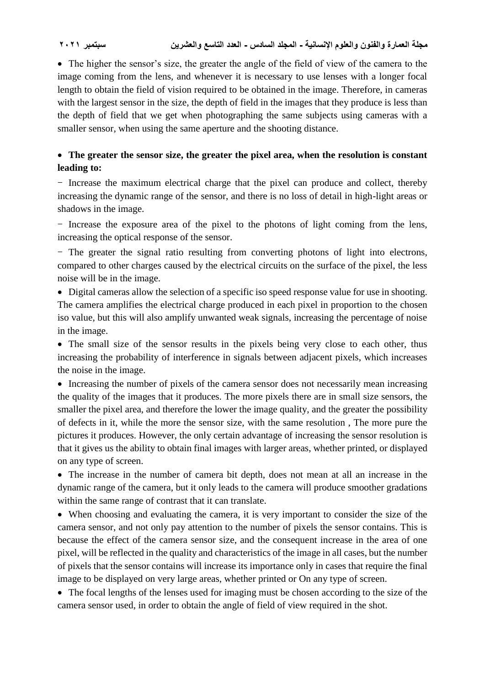• The higher the sensor's size, the greater the angle of the field of view of the camera to the image coming from the lens, and whenever it is necessary to use lenses with a longer focal length to obtain the field of vision required to be obtained in the image. Therefore, in cameras with the largest sensor in the size, the depth of field in the images that they produce is less than the depth of field that we get when photographing the same subjects using cameras with a smaller sensor, when using the same aperture and the shooting distance.

# **The greater the sensor size, the greater the pixel area, when the resolution is constant leading to:**

- Increase the maximum electrical charge that the pixel can produce and collect, thereby increasing the dynamic range of the sensor, and there is no loss of detail in high-light areas or shadows in the image.

- Increase the exposure area of the pixel to the photons of light coming from the lens, increasing the optical response of the sensor.

- The greater the signal ratio resulting from converting photons of light into electrons, compared to other charges caused by the electrical circuits on the surface of the pixel, the less noise will be in the image.

 Digital cameras allow the selection of a specific iso speed response value for use in shooting. The camera amplifies the electrical charge produced in each pixel in proportion to the chosen iso value, but this will also amplify unwanted weak signals, increasing the percentage of noise in the image.

• The small size of the sensor results in the pixels being very close to each other, thus increasing the probability of interference in signals between adjacent pixels, which increases the noise in the image.

• Increasing the number of pixels of the camera sensor does not necessarily mean increasing the quality of the images that it produces. The more pixels there are in small size sensors, the smaller the pixel area, and therefore the lower the image quality, and the greater the possibility of defects in it, while the more the sensor size, with the same resolution , The more pure the pictures it produces. However, the only certain advantage of increasing the sensor resolution is that it gives us the ability to obtain final images with larger areas, whether printed, or displayed on any type of screen.

 The increase in the number of camera bit depth, does not mean at all an increase in the dynamic range of the camera, but it only leads to the camera will produce smoother gradations within the same range of contrast that it can translate.

 When choosing and evaluating the camera, it is very important to consider the size of the camera sensor, and not only pay attention to the number of pixels the sensor contains. This is because the effect of the camera sensor size, and the consequent increase in the area of one pixel, will be reflected in the quality and characteristics of the image in all cases, but the number of pixels that the sensor contains will increase its importance only in cases that require the final image to be displayed on very large areas, whether printed or On any type of screen.

• The focal lengths of the lenses used for imaging must be chosen according to the size of the camera sensor used, in order to obtain the angle of field of view required in the shot.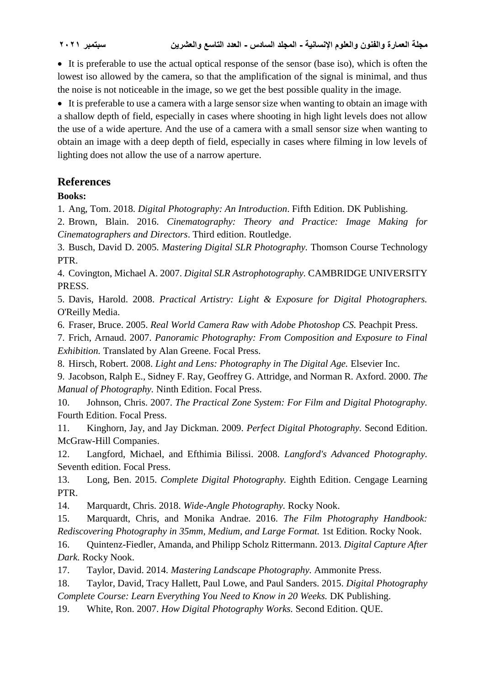**مجلة العمارة والفنون والعلوم اإلنسانية - المجلد السادس - العدد التاسع والعشرين سبتمبر 2021**

 It is preferable to use the actual optical response of the sensor (base iso), which is often the lowest iso allowed by the camera, so that the amplification of the signal is minimal, and thus the noise is not noticeable in the image, so we get the best possible quality in the image.

 It is preferable to use a camera with a large sensor size when wanting to obtain an image with a shallow depth of field, especially in cases where shooting in high light levels does not allow the use of a wide aperture. And the use of a camera with a small sensor size when wanting to obtain an image with a deep depth of field, especially in cases where filming in low levels of lighting does not allow the use of a narrow aperture.

# **References**

**Books:**

1. Ang, Tom. 2018. *Digital Photography: An Introduction*. Fifth Edition. DK Publishing.

2. Brown, Blain. 2016. *Cinematography: Theory and Practice: Image Making for Cinematographers and Directors*. Third edition. Routledge.

3. Busch, David D. 2005. *Mastering Digital SLR Photography.* Thomson Course Technology PTR.

4. Covington, Michael A. 2007. *Digital SLR Astrophotography.* CAMBRIDGE UNIVERSITY PRESS.

5. Davis, Harold. 2008. *Practical Artistry: Light & Exposure for Digital Photographers.* O'Reilly Media.

6. Fraser, Bruce. 2005. *Real World Camera Raw with Adobe Photoshop CS.* Peachpit Press.

7. Frich, Arnaud. 2007. *Panoramic Photography: From Composition and Exposure to Final Exhibition.* Translated by Alan Greene. Focal Press.

8. Hirsch, Robert. 2008. *Light and Lens: Photography in The Digital Age.* Elsevier Inc.

9. Jacobson, Ralph E., Sidney F. Ray, Geoffrey G. Attridge, and Norman R. Axford. 2000. *The Manual of Photography.* Ninth Edition. Focal Press.

10. Johnson, Chris. 2007. *The Practical Zone System: For Film and Digital Photography.* Fourth Edition. Focal Press.

11. Kinghorn, Jay, and Jay Dickman. 2009. *Perfect Digital Photography.* Second Edition. McGraw-Hill Companies.

12. Langford, Michael, and Efthimia Bilissi. 2008. *Langford's Advanced Photography.* Seventh edition. Focal Press.

13. Long, Ben. 2015. *Complete Digital Photography.* Eighth Edition. Cengage Learning PTR.

14. Marquardt, Chris. 2018. *Wide-Angle Photography.* Rocky Nook.

15. Marquardt, Chris, and Monika Andrae. 2016. *The Film Photography Handbook: Rediscovering Photography in 35mm, Medium, and Large Format.* 1st Edition. Rocky Nook.

16. Quintenz-Fiedler, Amanda, and Philipp Scholz Rittermann. 2013. *Digital Capture After Dark.* Rocky Nook.

17. Taylor, David. 2014. *Mastering Landscape Photography.* Ammonite Press.

18. Taylor, David, Tracy Hallett, Paul Lowe, and Paul Sanders. 2015. *Digital Photography Complete Course: Learn Everything You Need to Know in 20 Weeks.* DK Publishing.

19. White, Ron. 2007. *How Digital Photography Works.* Second Edition. QUE.